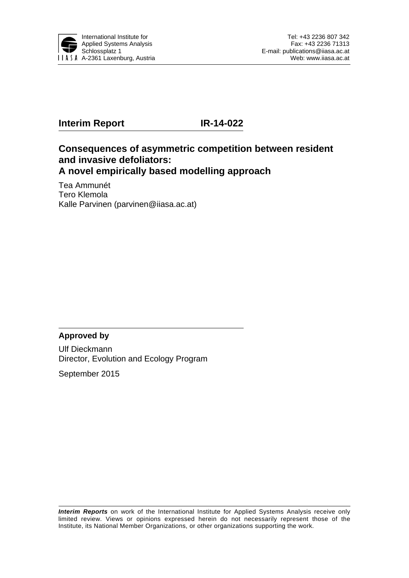

# **Interim Report IR-14-022**

# **Consequences of asymmetric competition between resident and invasive defoliators:**

**A novel empirically based modelling approach** 

Tea Ammunét Tero Klemola Kalle Parvinen (parvinen@iiasa.ac.at)

# **Approved by**

Ulf Dieckmann Director, Evolution and Ecology Program

September 2015

*Interim Reports* on work of the International Institute for Applied Systems Analysis receive only limited review. Views or opinions expressed herein do not necessarily represent those of the Institute, its National Member Organizations, or other organizations supporting the work.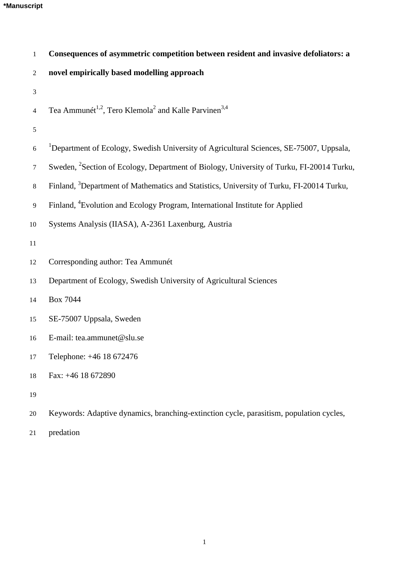## **\*Manuscript**

| $\mathbf{1}$             | Consequences of asymmetric competition between resident and invasive defoliators: a                  |
|--------------------------|------------------------------------------------------------------------------------------------------|
| $\overline{c}$           | novel empirically based modelling approach                                                           |
| 3                        |                                                                                                      |
| $\overline{\mathcal{A}}$ | Tea Ammunét <sup>1,2</sup> , Tero Klemola <sup>2</sup> and Kalle Parvinen <sup>3,4</sup>             |
| 5                        |                                                                                                      |
| $\sqrt{6}$               | <sup>1</sup> Department of Ecology, Swedish University of Agricultural Sciences, SE-75007, Uppsala,  |
| $\boldsymbol{7}$         | Sweden, <sup>2</sup> Section of Ecology, Department of Biology, University of Turku, FI-20014 Turku, |
| $8\,$                    | Finland, <sup>3</sup> Department of Mathematics and Statistics, University of Turku, FI-20014 Turku, |
| $\overline{9}$           | Finland, <sup>4</sup> Evolution and Ecology Program, International Institute for Applied             |
| 10                       | Systems Analysis (IIASA), A-2361 Laxenburg, Austria                                                  |
| 11                       |                                                                                                      |
| 12                       | Corresponding author: Tea Ammunét                                                                    |
| 13                       | Department of Ecology, Swedish University of Agricultural Sciences                                   |
| 14                       | <b>Box 7044</b>                                                                                      |
| 15                       | SE-75007 Uppsala, Sweden                                                                             |
| 16                       | E-mail: tea.ammunet@slu.se                                                                           |
| 17                       | Telephone: +46 18 672476                                                                             |
| 18                       | Fax: +46 18 672890                                                                                   |
| 19                       |                                                                                                      |
| 20                       | Keywords: Adaptive dynamics, branching-extinction cycle, parasitism, population cycles,              |

predation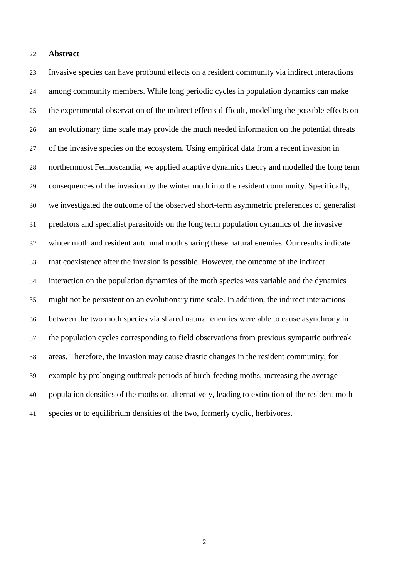#### **Abstract**

 Invasive species can have profound effects on a resident community via indirect interactions among community members. While long periodic cycles in population dynamics can make the experimental observation of the indirect effects difficult, modelling the possible effects on an evolutionary time scale may provide the much needed information on the potential threats of the invasive species on the ecosystem. Using empirical data from a recent invasion in northernmost Fennoscandia, we applied adaptive dynamics theory and modelled the long term consequences of the invasion by the winter moth into the resident community. Specifically, we investigated the outcome of the observed short-term asymmetric preferences of generalist predators and specialist parasitoids on the long term population dynamics of the invasive winter moth and resident autumnal moth sharing these natural enemies. Our results indicate that coexistence after the invasion is possible. However, the outcome of the indirect interaction on the population dynamics of the moth species was variable and the dynamics might not be persistent on an evolutionary time scale. In addition, the indirect interactions between the two moth species via shared natural enemies were able to cause asynchrony in the population cycles corresponding to field observations from previous sympatric outbreak areas. Therefore, the invasion may cause drastic changes in the resident community, for example by prolonging outbreak periods of birch-feeding moths, increasing the average population densities of the moths or, alternatively, leading to extinction of the resident moth species or to equilibrium densities of the two, formerly cyclic, herbivores.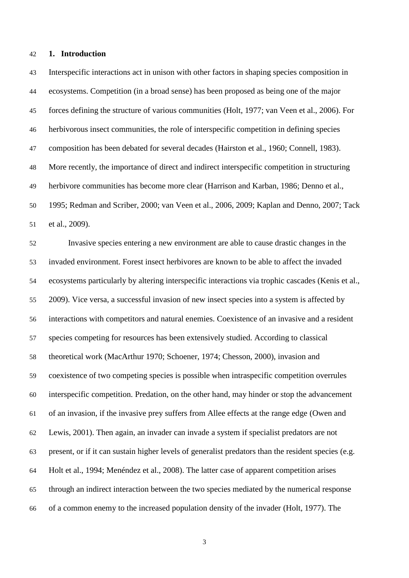#### **1. Introduction**

 Interspecific interactions act in unison with other factors in shaping species composition in ecosystems. Competition (in a broad sense) has been proposed as being one of the major forces defining the structure of various communities (Holt, 1977; van Veen et al., 2006). For herbivorous insect communities, the role of interspecific competition in defining species composition has been debated for several decades (Hairston et al., 1960; Connell, 1983). More recently, the importance of direct and indirect interspecific competition in structuring herbivore communities has become more clear (Harrison and Karban, 1986; Denno et al., 1995; Redman and Scriber, 2000; van Veen et al., 2006, 2009; Kaplan and Denno, 2007; Tack et al., 2009).

 Invasive species entering a new environment are able to cause drastic changes in the invaded environment. Forest insect herbivores are known to be able to affect the invaded ecosystems particularly by altering interspecific interactions via trophic cascades (Kenis et al., 2009). Vice versa, a successful invasion of new insect species into a system is affected by interactions with competitors and natural enemies. Coexistence of an invasive and a resident species competing for resources has been extensively studied. According to classical theoretical work (MacArthur 1970; Schoener, 1974; Chesson, 2000), invasion and coexistence of two competing species is possible when intraspecific competition overrules interspecific competition. Predation, on the other hand, may hinder or stop the advancement of an invasion, if the invasive prey suffers from Allee effects at the range edge (Owen and Lewis, 2001). Then again, an invader can invade a system if specialist predators are not present, or if it can sustain higher levels of generalist predators than the resident species (e.g. Holt et al., 1994; Menéndez et al., 2008). The latter case of apparent competition arises through an indirect interaction between the two species mediated by the numerical response of a common enemy to the increased population density of the invader (Holt, 1977). The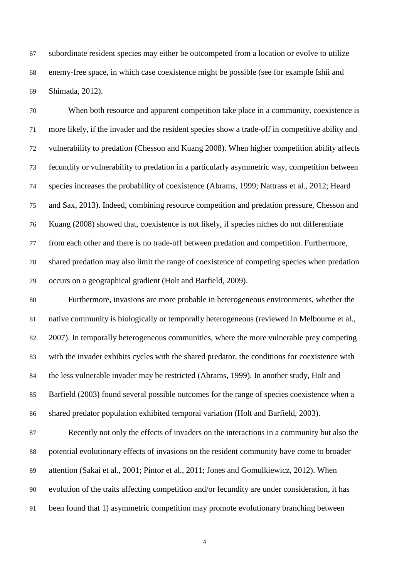subordinate resident species may either be outcompeted from a location or evolve to utilize enemy-free space, in which case coexistence might be possible (see for example Ishii and Shimada, 2012).

 When both resource and apparent competition take place in a community, coexistence is more likely, if the invader and the resident species show a trade-off in competitive ability and vulnerability to predation (Chesson and Kuang 2008). When higher competition ability affects fecundity or vulnerability to predation in a particularly asymmetric way, competition between species increases the probability of coexistence (Abrams, 1999; Nattrass et al., 2012; Heard and Sax, 2013). Indeed, combining resource competition and predation pressure, Chesson and Kuang (2008) showed that, coexistence is not likely, if species niches do not differentiate from each other and there is no trade-off between predation and competition. Furthermore, shared predation may also limit the range of coexistence of competing species when predation occurs on a geographical gradient (Holt and Barfield, 2009).

 Furthermore, invasions are more probable in heterogeneous environments, whether the native community is biologically or temporally heterogeneous (reviewed in Melbourne et al., 2007). In temporally heterogeneous communities, where the more vulnerable prey competing with the invader exhibits cycles with the shared predator, the conditions for coexistence with the less vulnerable invader may be restricted (Abrams, 1999). In another study, Holt and Barfield (2003) found several possible outcomes for the range of species coexistence when a shared predator population exhibited temporal variation (Holt and Barfield, 2003).

 Recently not only the effects of invaders on the interactions in a community but also the potential evolutionary effects of invasions on the resident community have come to broader attention (Sakai et al., 2001; Pintor et al., 2011; Jones and Gomulkiewicz, 2012). When evolution of the traits affecting competition and/or fecundity are under consideration, it has been found that 1) asymmetric competition may promote evolutionary branching between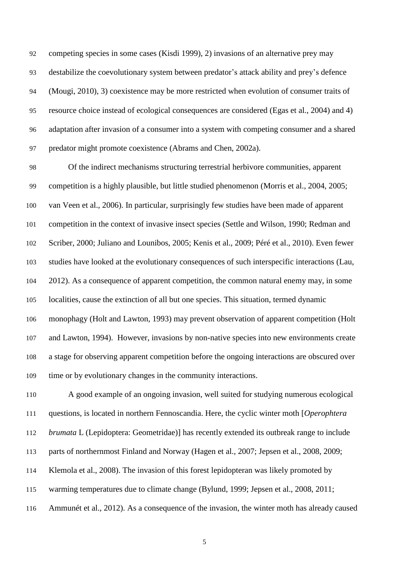competing species in some cases (Kisdi 1999), 2) invasions of an alternative prey may destabilize the coevolutionary system between predator's attack ability and prey's defence (Mougi, 2010), 3) coexistence may be more restricted when evolution of consumer traits of resource choice instead of ecological consequences are considered (Egas et al., 2004) and 4) adaptation after invasion of a consumer into a system with competing consumer and a shared predator might promote coexistence (Abrams and Chen, 2002a).

 Of the indirect mechanisms structuring terrestrial herbivore communities, apparent competition is a highly plausible, but little studied phenomenon (Morris et al., 2004, 2005; van Veen et al., 2006). In particular, surprisingly few studies have been made of apparent competition in the context of invasive insect species (Settle and Wilson, 1990; Redman and Scriber, 2000; Juliano and Lounibos, 2005; Kenis et al., 2009; Péré et al., 2010). Even fewer studies have looked at the evolutionary consequences of such interspecific interactions (Lau, 2012). As a consequence of apparent competition, the common natural enemy may, in some localities, cause the extinction of all but one species. This situation, termed dynamic monophagy (Holt and Lawton, 1993) may prevent observation of apparent competition (Holt and Lawton, 1994). However, invasions by non-native species into new environments create a stage for observing apparent competition before the ongoing interactions are obscured over time or by evolutionary changes in the community interactions.

 A good example of an ongoing invasion, well suited for studying numerous ecological questions, is located in northern Fennoscandia. Here, the cyclic winter moth [*Operophtera brumata* L (Lepidoptera: Geometridae)] has recently extended its outbreak range to include parts of northernmost Finland and Norway (Hagen et al., 2007; Jepsen et al., 2008, 2009; Klemola et al., 2008). The invasion of this forest lepidopteran was likely promoted by warming temperatures due to climate change (Bylund, 1999; Jepsen et al., 2008, 2011; Ammunét et al., 2012). As a consequence of the invasion, the winter moth has already caused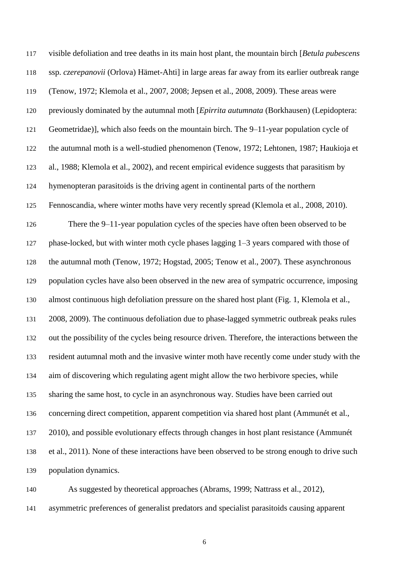visible defoliation and tree deaths in its main host plant, the mountain birch [*Betula pubescens* ssp. *czerepanovii* (Orlova) Hämet-Ahti] in large areas far away from its earlier outbreak range (Tenow, 1972; Klemola et al., 2007, 2008; Jepsen et al., 2008, 2009). These areas were previously dominated by the autumnal moth [*Epirrita autumnata* (Borkhausen) (Lepidoptera: Geometridae)], which also feeds on the mountain birch. The 9–11-year population cycle of the autumnal moth is a well-studied phenomenon (Tenow, 1972; Lehtonen, 1987; Haukioja et al., 1988; Klemola et al., 2002), and recent empirical evidence suggests that parasitism by hymenopteran parasitoids is the driving agent in continental parts of the northern 125 Fennoscandia, where winter moths have very recently spread (Klemola et al., 2008, 2010). There the 9–11-year population cycles of the species have often been observed to be phase-locked, but with winter moth cycle phases lagging 1–3 years compared with those of the autumnal moth (Tenow, 1972; Hogstad, 2005; Tenow et al., 2007). These asynchronous population cycles have also been observed in the new area of sympatric occurrence, imposing almost continuous high defoliation pressure on the shared host plant (Fig. 1, Klemola et al., 2008, 2009). The continuous defoliation due to phase-lagged symmetric outbreak peaks rules out the possibility of the cycles being resource driven. Therefore, the interactions between the resident autumnal moth and the invasive winter moth have recently come under study with the aim of discovering which regulating agent might allow the two herbivore species, while sharing the same host, to cycle in an asynchronous way. Studies have been carried out concerning direct competition, apparent competition via shared host plant (Ammunét et al., 2010), and possible evolutionary effects through changes in host plant resistance (Ammunét et al., 2011). None of these interactions have been observed to be strong enough to drive such population dynamics.

 As suggested by theoretical approaches (Abrams, 1999; Nattrass et al., 2012), asymmetric preferences of generalist predators and specialist parasitoids causing apparent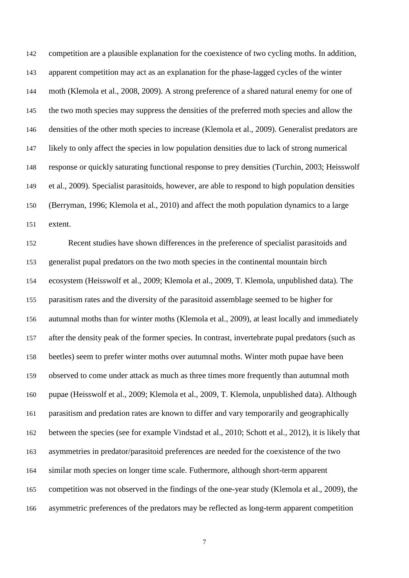competition are a plausible explanation for the coexistence of two cycling moths. In addition, apparent competition may act as an explanation for the phase-lagged cycles of the winter moth (Klemola et al., 2008, 2009). A strong preference of a shared natural enemy for one of the two moth species may suppress the densities of the preferred moth species and allow the densities of the other moth species to increase (Klemola et al., 2009). Generalist predators are likely to only affect the species in low population densities due to lack of strong numerical response or quickly saturating functional response to prey densities (Turchin, 2003; Heisswolf et al., 2009). Specialist parasitoids, however, are able to respond to high population densities (Berryman, 1996; Klemola et al., 2010) and affect the moth population dynamics to a large extent.

 Recent studies have shown differences in the preference of specialist parasitoids and generalist pupal predators on the two moth species in the continental mountain birch ecosystem (Heisswolf et al., 2009; Klemola et al., 2009, T. Klemola, unpublished data). The parasitism rates and the diversity of the parasitoid assemblage seemed to be higher for autumnal moths than for winter moths (Klemola et al., 2009), at least locally and immediately after the density peak of the former species. In contrast, invertebrate pupal predators (such as beetles) seem to prefer winter moths over autumnal moths. Winter moth pupae have been observed to come under attack as much as three times more frequently than autumnal moth pupae (Heisswolf et al., 2009; Klemola et al., 2009, T. Klemola, unpublished data). Although parasitism and predation rates are known to differ and vary temporarily and geographically between the species (see for example Vindstad et al., 2010; Schott et al., 2012), it is likely that asymmetries in predator/parasitoid preferences are needed for the coexistence of the two similar moth species on longer time scale. Futhermore, although short-term apparent competition was not observed in the findings of the one-year study (Klemola et al., 2009), the asymmetric preferences of the predators may be reflected as long-term apparent competition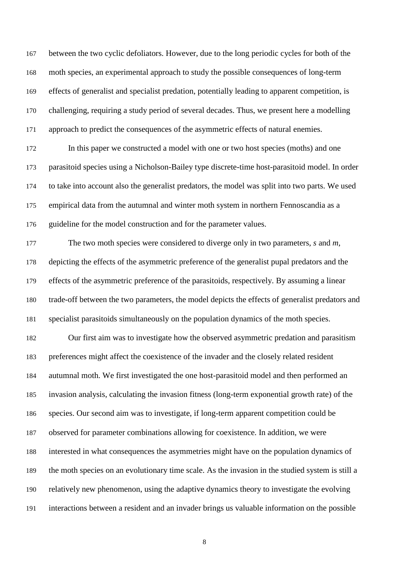between the two cyclic defoliators. However, due to the long periodic cycles for both of the moth species, an experimental approach to study the possible consequences of long-term effects of generalist and specialist predation, potentially leading to apparent competition, is challenging, requiring a study period of several decades. Thus, we present here a modelling approach to predict the consequences of the asymmetric effects of natural enemies.

 In this paper we constructed a model with one or two host species (moths) and one parasitoid species using a Nicholson-Bailey type discrete-time host-parasitoid model. In order to take into account also the generalist predators, the model was split into two parts. We used empirical data from the autumnal and winter moth system in northern Fennoscandia as a guideline for the model construction and for the parameter values.

 The two moth species were considered to diverge only in two parameters, *s* and *m*, depicting the effects of the asymmetric preference of the generalist pupal predators and the effects of the asymmetric preference of the parasitoids, respectively. By assuming a linear trade-off between the two parameters, the model depicts the effects of generalist predators and specialist parasitoids simultaneously on the population dynamics of the moth species.

 Our first aim was to investigate how the observed asymmetric predation and parasitism preferences might affect the coexistence of the invader and the closely related resident autumnal moth. We first investigated the one host-parasitoid model and then performed an invasion analysis, calculating the invasion fitness (long-term exponential growth rate) of the species. Our second aim was to investigate, if long-term apparent competition could be observed for parameter combinations allowing for coexistence. In addition, we were interested in what consequences the asymmetries might have on the population dynamics of the moth species on an evolutionary time scale. As the invasion in the studied system is still a relatively new phenomenon, using the adaptive dynamics theory to investigate the evolving interactions between a resident and an invader brings us valuable information on the possible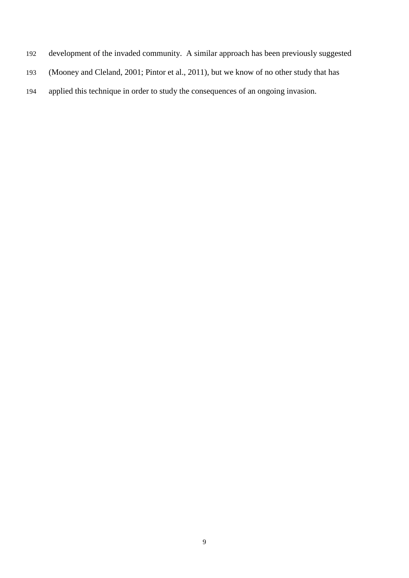- development of the invaded community. A similar approach has been previously suggested
- (Mooney and Cleland, 2001; Pintor et al., 2011), but we know of no other study that has
- applied this technique in order to study the consequences of an ongoing invasion.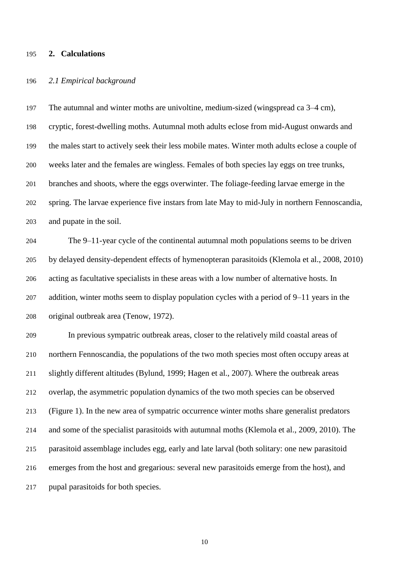#### **2. Calculations**

#### *2.1 Empirical background*

 The autumnal and winter moths are univoltine, medium-sized (wingspread ca 3–4 cm), cryptic, forest-dwelling moths. Autumnal moth adults eclose from mid-August onwards and the males start to actively seek their less mobile mates. Winter moth adults eclose a couple of weeks later and the females are wingless. Females of both species lay eggs on tree trunks, branches and shoots, where the eggs overwinter. The foliage-feeding larvae emerge in the spring. The larvae experience five instars from late May to mid-July in northern Fennoscandia, and pupate in the soil.

 The 9–11-year cycle of the continental autumnal moth populations seems to be driven by delayed density-dependent effects of hymenopteran parasitoids (Klemola et al., 2008, 2010) acting as facultative specialists in these areas with a low number of alternative hosts. In addition, winter moths seem to display population cycles with a period of 9–11 years in the original outbreak area (Tenow, 1972).

 In previous sympatric outbreak areas, closer to the relatively mild coastal areas of northern Fennoscandia, the populations of the two moth species most often occupy areas at slightly different altitudes (Bylund, 1999; Hagen et al., 2007). Where the outbreak areas overlap, the asymmetric population dynamics of the two moth species can be observed (Figure 1). In the new area of sympatric occurrence winter moths share generalist predators and some of the specialist parasitoids with autumnal moths (Klemola et al., 2009, 2010). The parasitoid assemblage includes egg, early and late larval (both solitary: one new parasitoid emerges from the host and gregarious: several new parasitoids emerge from the host), and pupal parasitoids for both species.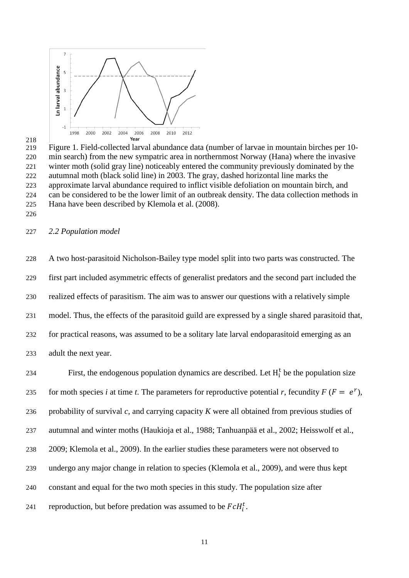

 Figure 1. Field-collected larval abundance data (number of larvae in mountain birches per 10- min search) from the new sympatric area in northernmost Norway (Hana) where the invasive winter moth (solid gray line) noticeably entered the community previously dominated by the autumnal moth (black solid line) in 2003. The gray, dashed horizontal line marks the approximate larval abundance required to inflict visible defoliation on mountain birch, and can be considered to be the lower limit of an outbreak density. The data collection methods in Hana have been described by Klemola et al. (2008).



 A two host-parasitoid Nicholson-Bailey type model split into two parts was constructed. The first part included asymmetric effects of generalist predators and the second part included the realized effects of parasitism. The aim was to answer our questions with a relatively simple model. Thus, the effects of the parasitoid guild are expressed by a single shared parasitoid that, for practical reasons, was assumed to be a solitary late larval endoparasitoid emerging as an adult the next year.

234 First, the endogenous population dynamics are described. Let  $H_i^t$  be the population size for moth species *i* at time *t*. The parameters for reproductive potential *r*, fecundity  $F(F = e^r)$ , 236 probability of survival  $c$ , and carrying capacity  $K$  were all obtained from previous studies of autumnal and winter moths (Haukioja et al., 1988; Tanhuanpää et al., 2002; Heisswolf et al., 2009; Klemola et al., 2009). In the earlier studies these parameters were not observed to undergo any major change in relation to species (Klemola et al., 2009), and were thus kept constant and equal for the two moth species in this study. The population size after 241 reproduction, but before predation was assumed to be  $FcH_i^t$ .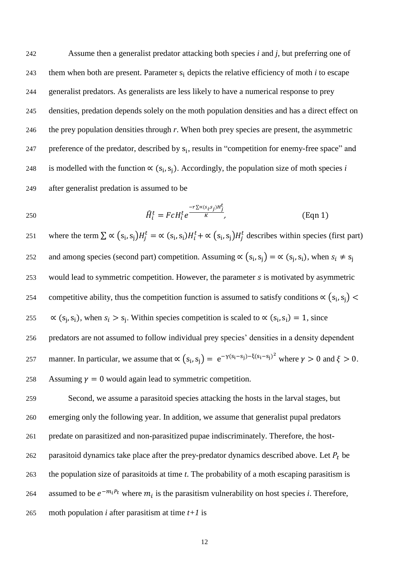Assume then a generalist predator attacking both species *i* and *j*, but preferring one of 243 them when both are present. Parameter  $s_i$  depicts the relative efficiency of moth *i* to escape generalist predators. As generalists are less likely to have a numerical response to prey densities, predation depends solely on the moth population densities and has a direct effect on the prey population densities through *r*. When both prey species are present, the asymmetric 247 preference of the predator, described by  $s_i$ , results in "competition for enemy-free space" and 248 is modelled with the function  $\propto$  ( $s_i$ ,  $s_i$ ). Accordingly, the population size of moth species *i* after generalist predation is assumed to be

$$
\widehat{H}_i^t = F c H_i^t e^{\frac{-r \sum \alpha(s_i, s_j) H_j^t}{K}},
$$
\n(Eqn 1)

251 where the term  $\sum \alpha (s_i, s_i) H_i^t = \alpha (s_i, s_i) H_i^t + \alpha (s_i, s_i) H_i^t$  describes within species (first part) 252 and among species (second part) competition. Assuming  $\propto$   $(s_i, s_i) = \propto$   $(s_i, s_i)$ , when 253 would lead to symmetric competition. However, the parameter s is motivated by asymmetric 254 competitive ability, thus the competition function is assumed to satisfy conditions  $\propto$   $(s_i, s_i)$  < 255  $\alpha$  ( $s_i$ ,  $s_j$ ), when  $s_i > s_j$ . Within species competition is scaled to  $\alpha$  ( $s_i$ ,  $s_j$ ) = 1, since 256 predators are not assumed to follow individual prey species' densities in a density dependent 257 manner. In particular, we assume that  $\propto (s_i, s_i) = e^{-\gamma(s_i - s_j) - \xi(s_i - s_j)^2}$  where  $\gamma > 0$  and  $\xi > 0$ . 258 Assuming  $y = 0$  would again lead to symmetric competition.

259 Second, we assume a parasitoid species attacking the hosts in the larval stages, but 260 emerging only the following year. In addition, we assume that generalist pupal predators 261 predate on parasitized and non-parasitized pupae indiscriminately. Therefore, the host-262 parasitoid dynamics take place after the prey-predator dynamics described above. Let  $P_t$  be 263 the population size of parasitoids at time *t*. The probability of a moth escaping parasitism is 264 assumed to be  $e^{-m_i P_t}$  where  $m_i$  is the parasitism vulnerability on host species *i*. Therefore, 265 moth population *i* after parasitism at time  $t+1$  is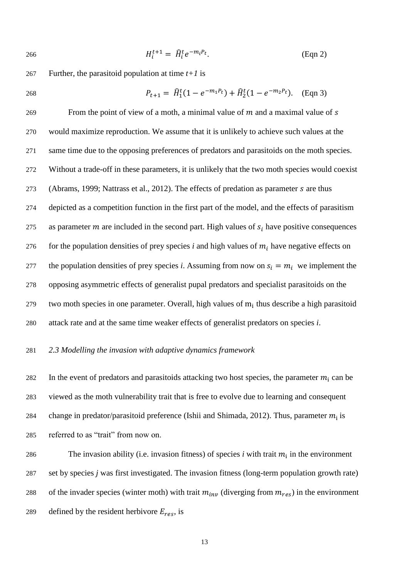266 
$$
H_i^{t+1} = \widehat{H}_i^t e^{-m_i P_t}.
$$
 (Eqn 2)

267 Further, the parasitoid population at time  $t+1$  is

268 
$$
P_{t+1} = \widehat{H}_1^t (1 - e^{-m_1 P_t}) + \widehat{H}_2^t (1 - e^{-m_2 P_t}). \quad \text{(Eqn 3)}
$$

269 From the point of view of a moth, a minimal value of  $m$  and a maximal value of  $s$ 270 would maximize reproduction. We assume that it is unlikely to achieve such values at the 271 same time due to the opposing preferences of predators and parasitoids on the moth species. 272 Without a trade-off in these parameters, it is unlikely that the two moth species would coexist 273 (Abrams, 1999; Nattrass et al., 2012). The effects of predation as parameter s are thus 274 depicted as a competition function in the first part of the model, and the effects of parasitism 275 as parameter m are included in the second part. High values of  $s_i$  have positive consequences 276 for the population densities of prey species *i* and high values of  $m_i$  have negative effects on the population densities of prey species *i*. Assuming from now on  $s_i = m_i$  we implement the 278 opposing asymmetric effects of generalist pupal predators and specialist parasitoids on the two moth species in one parameter. Overall, high values of  $m_i$  thus describe a high parasitoid 280 attack rate and at the same time weaker effects of generalist predators on species *i*.

### 281 *2.3 Modelling the invasion with adaptive dynamics framework*

282 In the event of predators and parasitoids attacking two host species, the parameter  $m_i$  can be 283 viewed as the moth vulnerability trait that is free to evolve due to learning and consequent change in predator/parasitoid preference (Ishii and Shimada, 2012). Thus, parameter  $m_i$  is 285 referred to as "trait" from now on.

The invasion ability (i.e. invasion fitness) of species *i* with trait  $m_i$  in the environment 287 set by species *j* was first investigated. The invasion fitness (long-term population growth rate) 288 of the invader species (winter moth) with trait  $m_{inv}$  (diverging from  $m_{res}$ ) in the environment 289 defined by the resident herbivore  $E_{res}$ , is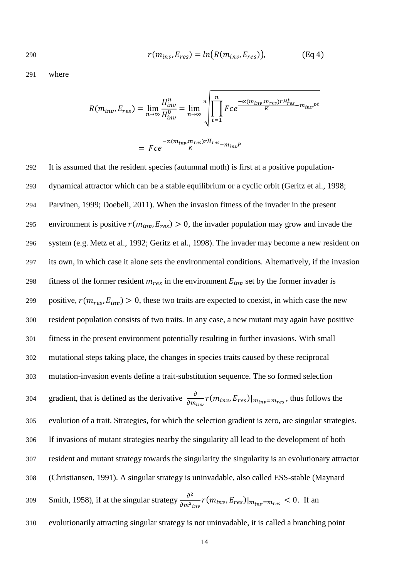$$
r(m_{inv}, E_{res}) = ln(R(m_{inv}, E_{res})),
$$
 (Eq 4)

291 where

$$
R(m_{inv}, E_{res}) = \lim_{n \to \infty} \frac{H_{inv}^n}{H_{inv}^0} = \lim_{n \to \infty} \sqrt[n]{\prod_{t=1}^n Fce^{\frac{-\alpha(m_{inv}, m_{res})rH_{res}^t}{K} - m_{inv}pt}}
$$

$$
= Fce^{\frac{-\alpha(m_{inv}, m_{res})r\overline{H}_{res}}{K} - m_{inv}\overline{P}}
$$

 It is assumed that the resident species (autumnal moth) is first at a positive population- dynamical attractor which can be a stable equilibrium or a cyclic orbit (Geritz et al., 1998; Parvinen, 1999; Doebeli, 2011). When the invasion fitness of the invader in the present environment is positive  $r(m_{inv}, E_{res}) > 0$ , the invader population may grow and invade the system (e.g. Metz et al., 1992; Geritz et al., 1998). The invader may become a new resident on its own, in which case it alone sets the environmental conditions. Alternatively, if the invasion 298 fitness of the former resident  $m_{res}$  in the environment  $E_{inv}$  set by the former invader is positive,  $r(m_{res}, E_{inv}) > 0$ , these two traits are expected to coexist, in which case the new resident population consists of two traits. In any case, a new mutant may again have positive fitness in the present environment potentially resulting in further invasions. With small mutational steps taking place, the changes in species traits caused by these reciprocal mutation-invasion events define a trait-substitution sequence. The so formed selection 304 gradient, that is defined as the derivative  $\frac{\partial}{\partial m_{inv}} r(m_{inv}, E_{res})|_{m_{inv}=m_{res}}$ , thus follows the evolution of a trait. Strategies, for which the selection gradient is zero, are singular strategies. If invasions of mutant strategies nearby the singularity all lead to the development of both resident and mutant strategy towards the singularity the singularity is an evolutionary attractor (Christiansen, 1991). A singular strategy is uninvadable, also called ESS-stable (Maynard Smith, 1958), if at the singular strategy  $\frac{\partial^2}{\partial x^2}$ 309 Smith, 1958), if at the singular strategy  $\frac{\partial}{\partial m^2_{inv}} r(m_{inv}, E_{res})|_{m_{inv}=m_{res}} < 0$ . If an evolutionarily attracting singular strategy is not uninvadable, it is called a branching point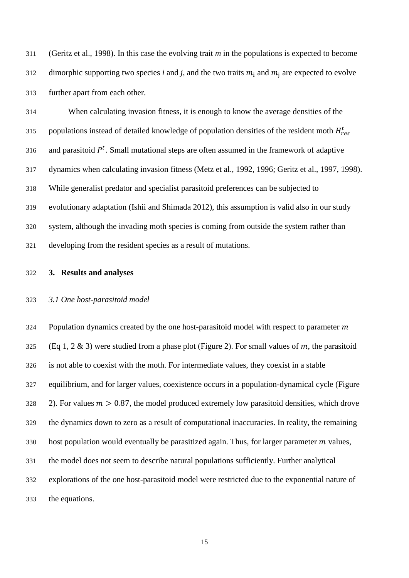(Geritz et al., 1998). In this case the evolving trait *m* in the populations is expected to become 312 dimorphic supporting two species *i* and *j*, and the two traits  $m_i$  and  $m_i$  are expected to evolve further apart from each other.

 When calculating invasion fitness, it is enough to know the average densities of the populations instead of detailed knowledge of population densities of the resident moth  $H_r^t$  316 and parasitoid  $P^t$ . Small mutational steps are often assumed in the framework of adaptive dynamics when calculating invasion fitness (Metz et al., 1992, 1996; Geritz et al., 1997, 1998). While generalist predator and specialist parasitoid preferences can be subjected to evolutionary adaptation (Ishii and Shimada 2012), this assumption is valid also in our study system, although the invading moth species is coming from outside the system rather than developing from the resident species as a result of mutations.

#### **3. Results and analyses**

### *3.1 One host-parasitoid model*

324 Population dynamics created by the one host-parasitoid model with respect to parameter  $m$ 325 (Eq 1, 2 & 3) were studied from a phase plot (Figure 2). For small values of m, the parasitoid is not able to coexist with the moth. For intermediate values, they coexist in a stable equilibrium, and for larger values, coexistence occurs in a population-dynamical cycle (Figure 328 2). For values  $m > 0.87$ , the model produced extremely low parasitoid densities, which drove the dynamics down to zero as a result of computational inaccuracies. In reality, the remaining 330 host population would eventually be parasitized again. Thus, for larger parameter  $m$  values, the model does not seem to describe natural populations sufficiently. Further analytical explorations of the one host-parasitoid model were restricted due to the exponential nature of the equations.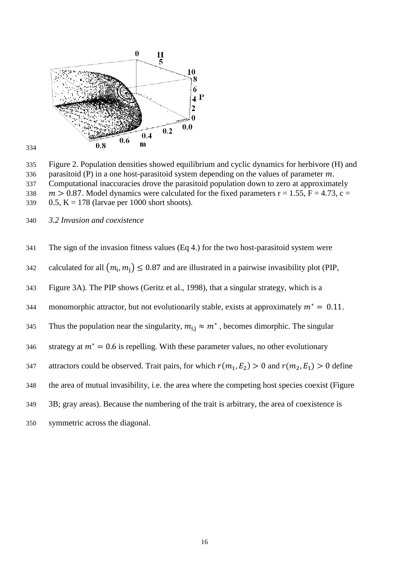

335 Figure 2. Population densities showed equilibrium and cyclic dynamics for herbivore (H) and 336 parasitoid (P) in a one host-parasitoid system depending on the values of parameter  $m$ . 337 Computational inaccuracies drove the parasitoid population down to zero at approximately 338  $m > 0.87$ . Model dynamics were calculated for the fixed parameters  $r = 1.55$ ,  $F = 4.73$ ,  $c =$ 339 0.5, K = 178 (larvae per 1000 short shoots).

340 *3.2 Invasion and coexistence*

334

341 The sign of the invasion fitness values (Eq 4.) for the two host-parasitoid system were 342 calculated for all  $(m_i, m_i) \le 0.87$  and are illustrated in a pairwise invasibility plot (PIP, 343 Figure 3A). The PIP shows (Geritz et al., 1998), that a singular strategy, which is a 344 monomorphic attractor, but not evolutionarily stable, exists at approximately  $m^* = 0.11$ . 345 Thus the population near the singularity,  $m_{i,j} \approx m^*$ , becomes dimorphic. The singular 346 strategy at  $m^* = 0.6$  is repelling. With these parameter values, no other evolutionary 347 attractors could be observed. Trait pairs, for which  $r(m_1, E_2) > 0$  and  $r(m_2, E_1) > 0$  define 348 the area of mutual invasibility, i.e. the area where the competing host species coexist (Figure 349 3B; gray areas). Because the numbering of the trait is arbitrary, the area of coexistence is 350 symmetric across the diagonal.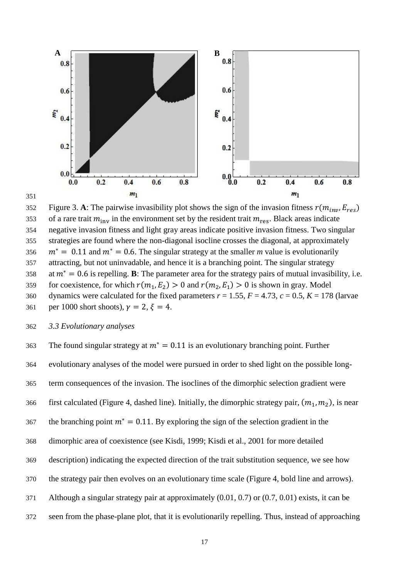

Figure 3. A: The pairwise invasibility plot shows the sign of the invasion fitness  $r(m_{inv}, E_{res})$ 353 of a rare trait  $m_{\text{inv}}$  in the environment set by the resident trait  $m_{\text{res}}$ . Black areas indicate 354 negative invasion fitness and light gray areas indicate positive invasion fitness. Two singular 355 strategies are found where the non-diagonal isocline crosses the diagonal, at approximately 356  $m^* = 0.11$  and  $m^* = 0.6$ . The singular strategy at the smaller *m* value is evolutionarily 357 attracting, but not uninvadable, and hence it is a branching point. The singular strategy 358 at  $m^* = 0.6$  is repelling. **B**: The parameter area for the strategy pairs of mutual invasibility, i.e. 359 for coexistence, for which  $r(m_1, E_2) > 0$  and  $r(m_2, E_1) > 0$  is shown in gray. Model 360 dynamics were calculated for the fixed parameters  $r = 1.55$ ,  $F = 4.73$ ,  $c = 0.5$ ,  $K = 178$  (larvae 361 per 1000 short shoots),  $\gamma = 2, \xi = 4$ .

### 362 *3.3 Evolutionary analyses*

363 The found singular strategy at  $m^* = 0.11$  is an evolutionary branching point. Further evolutionary analyses of the model were pursued in order to shed light on the possible long- term consequences of the invasion. The isoclines of the dimorphic selection gradient were 366 first calculated (Figure 4, dashed line). Initially, the dimorphic strategy pair,  $(m_1, m_2)$ , is near 367 the branching point  $m^* = 0.11$ . By exploring the sign of the selection gradient in the dimorphic area of coexistence (see Kisdi, 1999; Kisdi et al., 2001 for more detailed description) indicating the expected direction of the trait substitution sequence, we see how the strategy pair then evolves on an evolutionary time scale (Figure 4, bold line and arrows). Although a singular strategy pair at approximately (0.01, 0.7) or (0.7, 0.01) exists, it can be seen from the phase-plane plot, that it is evolutionarily repelling. Thus, instead of approaching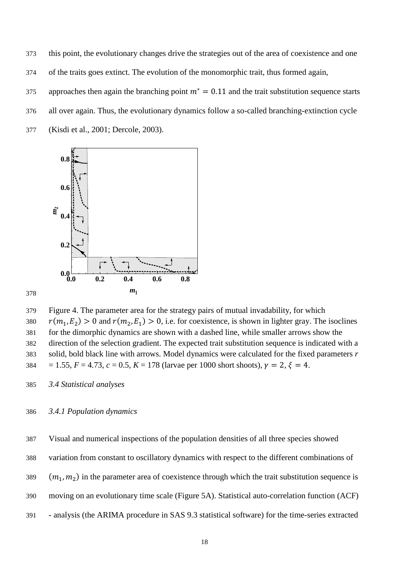373 this point, the evolutionary changes drive the strategies out of the area of coexistence and one 374 of the traits goes extinct. The evolution of the monomorphic trait, thus formed again,

375 approaches then again the branching point  $m^* = 0.11$  and the trait substitution sequence starts

376 all over again. Thus, the evolutionary dynamics follow a so-called branching-extinction cycle

377 (Kisdi et al., 2001; Dercole, 2003).



378

379 Figure 4. The parameter area for the strategy pairs of mutual invadability, for which 380  $r(m_1, E_2) > 0$  and  $r(m_2, E_1) > 0$ , i.e. for coexistence, is shown in lighter gray. The isoclines 381 for the dimorphic dynamics are shown with a dashed line, while smaller arrows show the 382 direction of the selection gradient. The expected trait substitution sequence is indicated with a 383 solid, bold black line with arrows. Model dynamics were calculated for the fixed parameters *r* 384 = 1.55,  $F = 4.73$ ,  $c = 0.5$ ,  $K = 178$  (larvae per 1000 short shoots),  $\gamma = 2$ ,  $\xi = 4$ .

385 *3.4 Statistical analyses*

### 386 *3.4.1 Population dynamics*

 Visual and numerical inspections of the population densities of all three species showed variation from constant to oscillatory dynamics with respect to the different combinations of  $389 \quad (m_1, m_2)$  in the parameter area of coexistence through which the trait substitution sequence is moving on an evolutionary time scale (Figure 5A). Statistical auto-correlation function (ACF) - analysis (the ARIMA procedure in SAS 9.3 statistical software) for the time-series extracted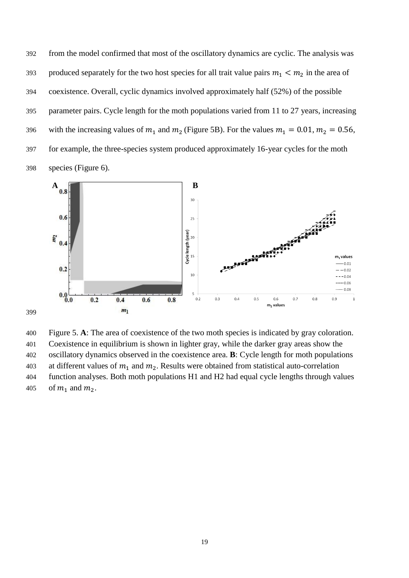from the model confirmed that most of the oscillatory dynamics are cyclic. The analysis was 393 produced separately for the two host species for all trait value pairs  $m_1 < m_2$  in the area of coexistence. Overall, cyclic dynamics involved approximately half (52%) of the possible parameter pairs. Cycle length for the moth populations varied from 11 to 27 years, increasing 396 with the increasing values of  $m_1$  and  $m_2$  (Figure 5B). For the values  $m_1 = 0.01$ ,  $m_2 = 0.56$ , for example, the three-species system produced approximately 16-year cycles for the moth species (Figure 6).



 Figure 5. **A**: The area of coexistence of the two moth species is indicated by gray coloration. Coexistence in equilibrium is shown in lighter gray, while the darker gray areas show the oscillatory dynamics observed in the coexistence area. **B**: Cycle length for moth populations 403 at different values of  $m_1$  and  $m_2$ . Results were obtained from statistical auto-correlation function analyses. Both moth populations H1 and H2 had equal cycle lengths through values 405 of  $m_1$  and  $m_2$ .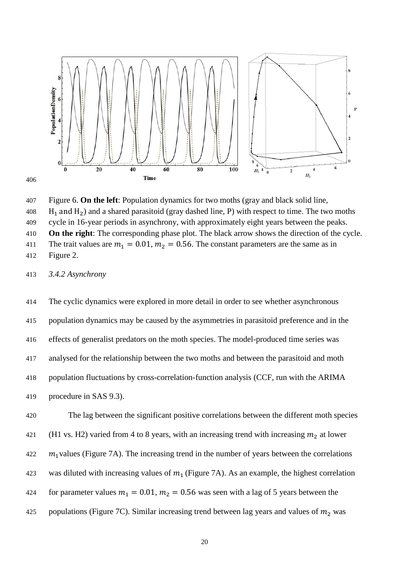

 Figure 6. **On the left**: Population dynamics for two moths (gray and black solid line, H<sub>1</sub> and H<sub>2</sub>) and a shared parasitoid (gray dashed line, P) with respect to time. The two moths cycle in 16-year periods in asynchrony, with approximately eight years between the peaks. **On the right**: The corresponding phase plot. The black arrow shows the direction of the cycle. 411 The trait values are  $m_1 = 0.01$ ,  $m_2 = 0.56$ . The constant parameters are the same as in Figure 2.

#### *3.4.2 Asynchrony*

 The cyclic dynamics were explored in more detail in order to see whether asynchronous population dynamics may be caused by the asymmetries in parasitoid preference and in the effects of generalist predators on the moth species. The model-produced time series was analysed for the relationship between the two moths and between the parasitoid and moth population fluctuations by cross-correlation-function analysis (CCF, run with the ARIMA procedure in SAS 9.3).

The lag between the significant positive correlations between the different moth species

421 (H1 vs. H2) varied from 4 to 8 years, with an increasing trend with increasing  $m_2$  at lower

 $w_1$  values (Figure 7A). The increasing trend in the number of years between the correlations

- 423 was diluted with increasing values of  $m_1$  (Figure 7A). As an example, the highest correlation
- 424 for parameter values  $m_1 = 0.01$ ,  $m_2 = 0.56$  was seen with a lag of 5 years between the
- 425 populations (Figure 7C). Similar increasing trend between lag years and values of  $m_2$  was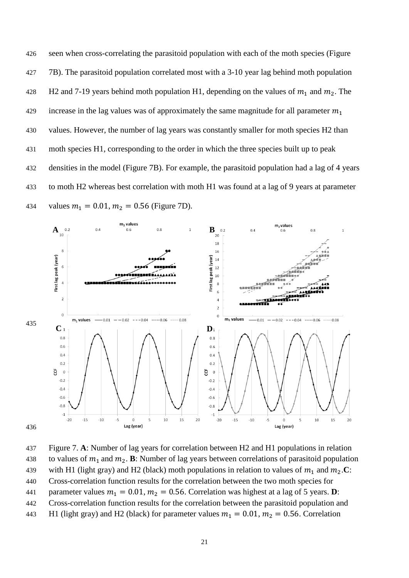seen when cross-correlating the parasitoid population with each of the moth species (Figure 7B). The parasitoid population correlated most with a 3-10 year lag behind moth population 428 H2 and 7-19 years behind moth population H1, depending on the values of  $m_1$  and  $m_2$ . The 429 increase in the lag values was of approximately the same magnitude for all parameter  $m_1$  values. However, the number of lag years was constantly smaller for moth species H2 than moth species H1, corresponding to the order in which the three species built up to peak densities in the model (Figure 7B). For example, the parasitoid population had a lag of 4 years to moth H2 whereas best correlation with moth H1 was found at a lag of 9 years at parameter 434 values  $m_1 = 0.01$ ,  $m_2 = 0.56$  (Figure 7D).





- Cross-correlation function results for the correlation between the parasitoid population and
- 443 H1 (light gray) and H2 (black) for parameter values  $m_1 = 0.01$ ,  $m_2 = 0.56$ . Correlation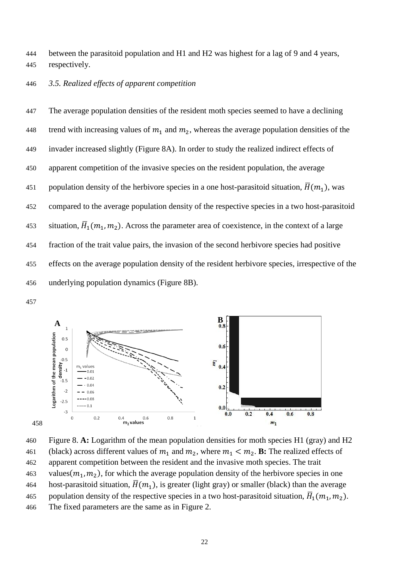between the parasitoid population and H1 and H2 was highest for a lag of 9 and 4 years, respectively.

#### *3.5. Realized effects of apparent competition*

 The average population densities of the resident moth species seemed to have a declining 448 trend with increasing values of  $m_1$  and  $m_2$ , whereas the average population densities of the invader increased slightly (Figure 8A). In order to study the realized indirect effects of apparent competition of the invasive species on the resident population, the average 451 population density of the herbivore species in a one host-parasitoid situation,  $\overline{H}(m_1)$ , was compared to the average population density of the respective species in a two host-parasitoid 453 situation,  $\overline{H}_1(m_1, m_2)$ . Across the parameter area of coexistence, in the context of a large fraction of the trait value pairs, the invasion of the second herbivore species had positive effects on the average population density of the resident herbivore species, irrespective of the underlying population dynamics (Figure 8B).



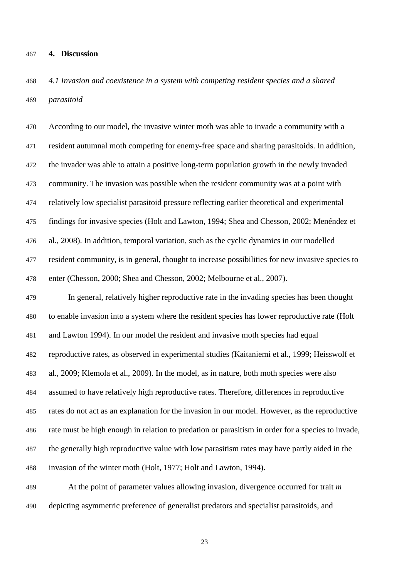*4.1 Invasion and coexistence in a system with competing resident species and a shared parasitoid*

 According to our model, the invasive winter moth was able to invade a community with a resident autumnal moth competing for enemy-free space and sharing parasitoids. In addition, the invader was able to attain a positive long-term population growth in the newly invaded community. The invasion was possible when the resident community was at a point with relatively low specialist parasitoid pressure reflecting earlier theoretical and experimental findings for invasive species (Holt and Lawton, 1994; Shea and Chesson, 2002; Menéndez et al., 2008). In addition, temporal variation, such as the cyclic dynamics in our modelled resident community, is in general, thought to increase possibilities for new invasive species to enter (Chesson, 2000; Shea and Chesson, 2002; Melbourne et al., 2007). In general, relatively higher reproductive rate in the invading species has been thought to enable invasion into a system where the resident species has lower reproductive rate (Holt and Lawton 1994). In our model the resident and invasive moth species had equal reproductive rates, as observed in experimental studies (Kaitaniemi et al., 1999; Heisswolf et al., 2009; Klemola et al., 2009). In the model, as in nature, both moth species were also assumed to have relatively high reproductive rates. Therefore, differences in reproductive rates do not act as an explanation for the invasion in our model. However, as the reproductive rate must be high enough in relation to predation or parasitism in order for a species to invade, the generally high reproductive value with low parasitism rates may have partly aided in the invasion of the winter moth (Holt, 1977; Holt and Lawton, 1994).

 At the point of parameter values allowing invasion, divergence occurred for trait *m* depicting asymmetric preference of generalist predators and specialist parasitoids, and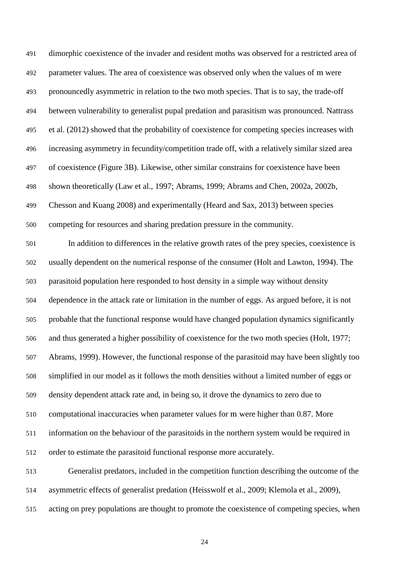dimorphic coexistence of the invader and resident moths was observed for a restricted area of 492 parameter values. The area of coexistence was observed only when the values of m were pronouncedly asymmetric in relation to the two moth species. That is to say, the trade-off between vulnerability to generalist pupal predation and parasitism was pronounced. Nattrass et al. (2012) showed that the probability of coexistence for competing species increases with increasing asymmetry in fecundity/competition trade off, with a relatively similar sized area of coexistence (Figure 3B). Likewise, other similar constrains for coexistence have been shown theoretically (Law et al., 1997; Abrams, 1999; Abrams and Chen, 2002a, 2002b, Chesson and Kuang 2008) and experimentally (Heard and Sax, 2013) between species competing for resources and sharing predation pressure in the community. In addition to differences in the relative growth rates of the prey species, coexistence is usually dependent on the numerical response of the consumer (Holt and Lawton, 1994). The parasitoid population here responded to host density in a simple way without density dependence in the attack rate or limitation in the number of eggs. As argued before, it is not probable that the functional response would have changed population dynamics significantly and thus generated a higher possibility of coexistence for the two moth species (Holt, 1977; Abrams, 1999). However, the functional response of the parasitoid may have been slightly too simplified in our model as it follows the moth densities without a limited number of eggs or density dependent attack rate and, in being so, it drove the dynamics to zero due to computational inaccuracies when parameter values for were higher than 0.87. More information on the behaviour of the parasitoids in the northern system would be required in order to estimate the parasitoid functional response more accurately. Generalist predators, included in the competition function describing the outcome of the asymmetric effects of generalist predation (Heisswolf et al., 2009; Klemola et al., 2009), acting on prey populations are thought to promote the coexistence of competing species, when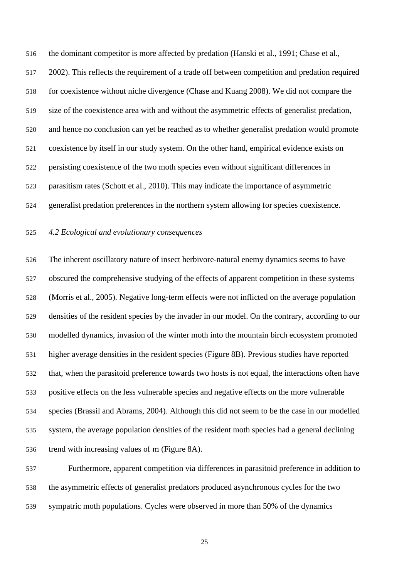the dominant competitor is more affected by predation (Hanski et al., 1991; Chase et al., 2002). This reflects the requirement of a trade off between competition and predation required for coexistence without niche divergence (Chase and Kuang 2008). We did not compare the size of the coexistence area with and without the asymmetric effects of generalist predation, and hence no conclusion can yet be reached as to whether generalist predation would promote coexistence by itself in our study system. On the other hand, empirical evidence exists on persisting coexistence of the two moth species even without significant differences in parasitism rates (Schott et al., 2010). This may indicate the importance of asymmetric generalist predation preferences in the northern system allowing for species coexistence.

## *4.2 Ecological and evolutionary consequences*

 The inherent oscillatory nature of insect herbivore-natural enemy dynamics seems to have obscured the comprehensive studying of the effects of apparent competition in these systems (Morris et al., 2005). Negative long-term effects were not inflicted on the average population densities of the resident species by the invader in our model. On the contrary, according to our modelled dynamics, invasion of the winter moth into the mountain birch ecosystem promoted higher average densities in the resident species (Figure 8B). Previous studies have reported that, when the parasitoid preference towards two hosts is not equal, the interactions often have positive effects on the less vulnerable species and negative effects on the more vulnerable species (Brassil and Abrams, 2004). Although this did not seem to be the case in our modelled system, the average population densities of the resident moth species had a general declining trend with increasing values of m (Figure 8A).

 Furthermore, apparent competition via differences in parasitoid preference in addition to the asymmetric effects of generalist predators produced asynchronous cycles for the two sympatric moth populations. Cycles were observed in more than 50% of the dynamics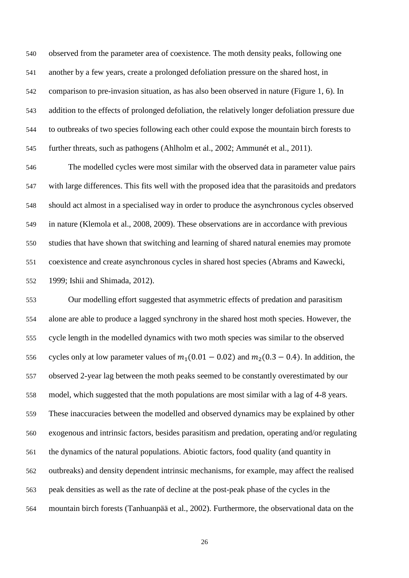observed from the parameter area of coexistence. The moth density peaks, following one another by a few years, create a prolonged defoliation pressure on the shared host, in comparison to pre-invasion situation, as has also been observed in nature (Figure 1, 6). In addition to the effects of prolonged defoliation, the relatively longer defoliation pressure due to outbreaks of two species following each other could expose the mountain birch forests to further threats, such as pathogens (Ahlholm et al., 2002; Ammunét et al., 2011).

 The modelled cycles were most similar with the observed data in parameter value pairs with large differences. This fits well with the proposed idea that the parasitoids and predators should act almost in a specialised way in order to produce the asynchronous cycles observed in nature (Klemola et al., 2008, 2009). These observations are in accordance with previous studies that have shown that switching and learning of shared natural enemies may promote coexistence and create asynchronous cycles in shared host species (Abrams and Kawecki, 1999; Ishii and Shimada, 2012).

 Our modelling effort suggested that asymmetric effects of predation and parasitism alone are able to produce a lagged synchrony in the shared host moth species. However, the cycle length in the modelled dynamics with two moth species was similar to the observed 556 cycles only at low parameter values of  $m_1(0.01 - 0.02)$  and  $m_2(0.3 - 0.4)$ . In addition, the observed 2-year lag between the moth peaks seemed to be constantly overestimated by our model, which suggested that the moth populations are most similar with a lag of 4-8 years. These inaccuracies between the modelled and observed dynamics may be explained by other exogenous and intrinsic factors, besides parasitism and predation, operating and/or regulating the dynamics of the natural populations. Abiotic factors, food quality (and quantity in outbreaks) and density dependent intrinsic mechanisms, for example, may affect the realised peak densities as well as the rate of decline at the post-peak phase of the cycles in the mountain birch forests (Tanhuanpää et al., 2002). Furthermore, the observational data on the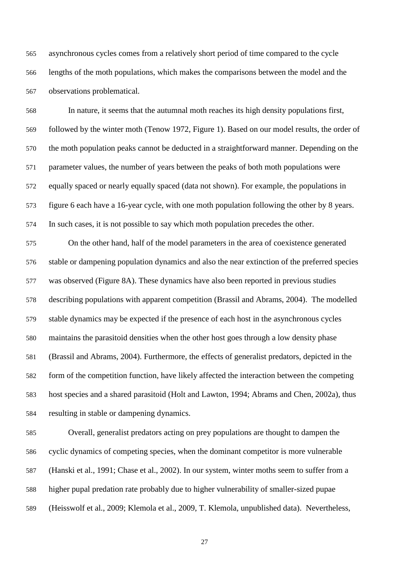asynchronous cycles comes from a relatively short period of time compared to the cycle lengths of the moth populations, which makes the comparisons between the model and the observations problematical.

 In nature, it seems that the autumnal moth reaches its high density populations first, followed by the winter moth (Tenow 1972, Figure 1). Based on our model results, the order of the moth population peaks cannot be deducted in a straightforward manner. Depending on the parameter values, the number of years between the peaks of both moth populations were equally spaced or nearly equally spaced (data not shown). For example, the populations in figure 6 each have a 16-year cycle, with one moth population following the other by 8 years. In such cases, it is not possible to say which moth population precedes the other.

 On the other hand, half of the model parameters in the area of coexistence generated stable or dampening population dynamics and also the near extinction of the preferred species was observed (Figure 8A). These dynamics have also been reported in previous studies describing populations with apparent competition (Brassil and Abrams, 2004). The modelled stable dynamics may be expected if the presence of each host in the asynchronous cycles maintains the parasitoid densities when the other host goes through a low density phase (Brassil and Abrams, 2004). Furthermore, the effects of generalist predators, depicted in the form of the competition function, have likely affected the interaction between the competing host species and a shared parasitoid (Holt and Lawton, 1994; Abrams and Chen, 2002a), thus resulting in stable or dampening dynamics.

 Overall, generalist predators acting on prey populations are thought to dampen the cyclic dynamics of competing species, when the dominant competitor is more vulnerable (Hanski et al., 1991; Chase et al., 2002). In our system, winter moths seem to suffer from a higher pupal predation rate probably due to higher vulnerability of smaller-sized pupae (Heisswolf et al., 2009; Klemola et al., 2009, T. Klemola, unpublished data). Nevertheless,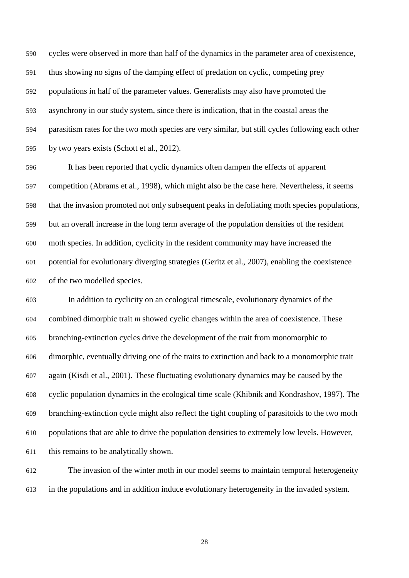cycles were observed in more than half of the dynamics in the parameter area of coexistence, thus showing no signs of the damping effect of predation on cyclic, competing prey populations in half of the parameter values. Generalists may also have promoted the asynchrony in our study system, since there is indication, that in the coastal areas the parasitism rates for the two moth species are very similar, but still cycles following each other by two years exists (Schott et al., 2012).

 It has been reported that cyclic dynamics often dampen the effects of apparent competition (Abrams et al., 1998), which might also be the case here. Nevertheless, it seems that the invasion promoted not only subsequent peaks in defoliating moth species populations, but an overall increase in the long term average of the population densities of the resident moth species. In addition, cyclicity in the resident community may have increased the potential for evolutionary diverging strategies (Geritz et al., 2007), enabling the coexistence of the two modelled species.

 In addition to cyclicity on an ecological timescale, evolutionary dynamics of the combined dimorphic trait *m* showed cyclic changes within the area of coexistence. These branching-extinction cycles drive the development of the trait from monomorphic to dimorphic, eventually driving one of the traits to extinction and back to a monomorphic trait again (Kisdi et al., 2001). These fluctuating evolutionary dynamics may be caused by the cyclic population dynamics in the ecological time scale (Khibnik and Kondrashov, 1997). The branching-extinction cycle might also reflect the tight coupling of parasitoids to the two moth populations that are able to drive the population densities to extremely low levels. However, this remains to be analytically shown.

 The invasion of the winter moth in our model seems to maintain temporal heterogeneity in the populations and in addition induce evolutionary heterogeneity in the invaded system.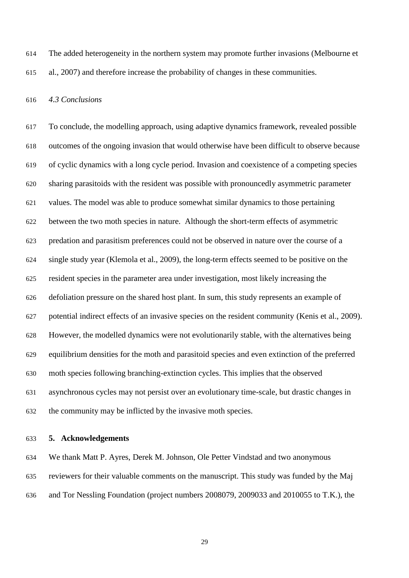The added heterogeneity in the northern system may promote further invasions (Melbourne et al., 2007) and therefore increase the probability of changes in these communities.

*4.3 Conclusions*

 To conclude, the modelling approach, using adaptive dynamics framework, revealed possible outcomes of the ongoing invasion that would otherwise have been difficult to observe because of cyclic dynamics with a long cycle period. Invasion and coexistence of a competing species sharing parasitoids with the resident was possible with pronouncedly asymmetric parameter values. The model was able to produce somewhat similar dynamics to those pertaining between the two moth species in nature. Although the short-term effects of asymmetric predation and parasitism preferences could not be observed in nature over the course of a single study year (Klemola et al., 2009), the long-term effects seemed to be positive on the resident species in the parameter area under investigation, most likely increasing the defoliation pressure on the shared host plant. In sum, this study represents an example of potential indirect effects of an invasive species on the resident community (Kenis et al., 2009). However, the modelled dynamics were not evolutionarily stable, with the alternatives being equilibrium densities for the moth and parasitoid species and even extinction of the preferred moth species following branching-extinction cycles. This implies that the observed asynchronous cycles may not persist over an evolutionary time-scale, but drastic changes in the community may be inflicted by the invasive moth species.

**5. Acknowledgements**

 We thank Matt P. Ayres, Derek M. Johnson, Ole Petter Vindstad and two anonymous reviewers for their valuable comments on the manuscript. This study was funded by the Maj and Tor Nessling Foundation (project numbers 2008079, 2009033 and 2010055 to T.K.), the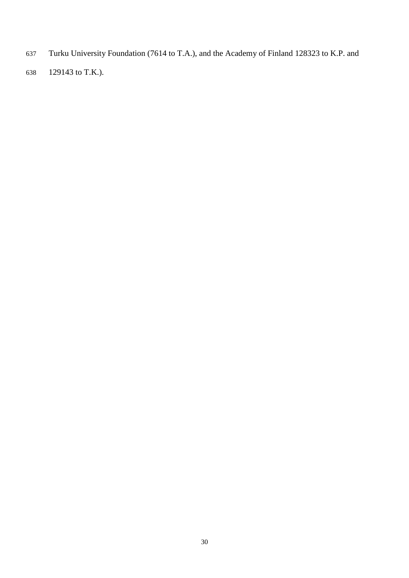- Turku University Foundation (7614 to T.A.), and the Academy of Finland 128323 to K.P. and
- 129143 to T.K.).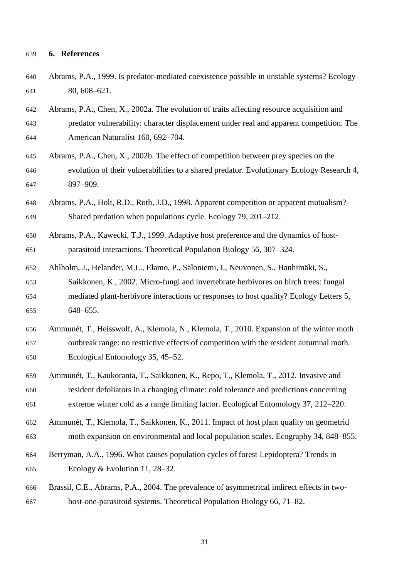#### **6. References**

- Abrams, P.A., 1999. Is predator-mediated coexistence possible in unstable systems? Ecology 80, 608–621.
- Abrams, P.A., Chen, X., 2002a. The evolution of traits affecting resource acquisition and predator vulnerability: character displacement under real and apparent competition. The American Naturalist 160, 692–704.
- Abrams, P.A., Chen, X., 2002b. The effect of competition between prey species on the evolution of their vulnerabilities to a shared predator. Evolutionary Ecology Research 4, 897–909.
- Abrams, P.A., Holt, R.D., Roth, J.D., 1998. Apparent competition or apparent mutualism? Shared predation when populations cycle. Ecology 79, 201–212.
- Abrams, P.A., Kawecki, T.J., 1999. Adaptive host preference and the dynamics of host-parasitoid interactions. Theoretical Population Biology 56, 307–324.
- Ahlholm, J., Helander, M.L., Elamo, P., Saloniemi, I., Neuvonen, S., Hanhimäki, S., Saikkonen, K., 2002. Micro-fungi and invertebrate herbivores on birch trees: fungal mediated plant-herbivore interactions or responses to host quality? Ecology Letters 5, 648–655.
- Ammunét, T., Heisswolf, A., Klemola, N., Klemola, T., 2010. Expansion of the winter moth outbreak range: no restrictive effects of competition with the resident autumnal moth. Ecological Entomology 35, 45–52.
- Ammunét, T., Kaukoranta, T., Saikkonen, K., Repo, T., Klemola, T., 2012. Invasive and resident defoliators in a changing climate: cold tolerance and predictions concerning extreme winter cold as a range limiting factor. Ecological Entomology 37, 212–220.
- Ammunét, T., Klemola, T., Saikkonen, K., 2011. Impact of host plant quality on geometrid moth expansion on environmental and local population scales. Ecography 34, 848–855.
- Berryman, A.A., 1996. What causes population cycles of forest Lepidoptera? Trends in Ecology & Evolution 11, 28–32.

# Brassil, C.E., Abrams, P.A., 2004. The prevalence of asymmetrical indirect effects in two-host-one-parasitoid systems. Theoretical Population Biology 66, 71–82.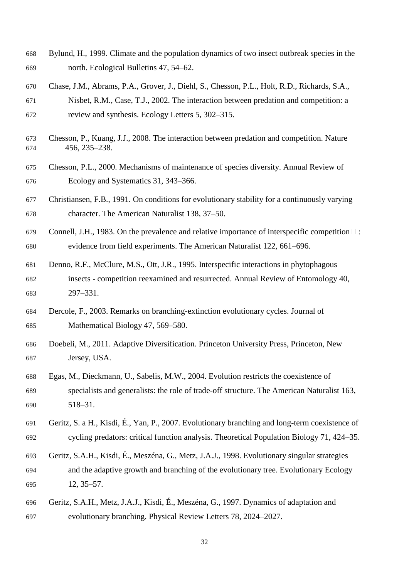- Bylund, H., 1999. Climate and the population dynamics of two insect outbreak species in the north. Ecological Bulletins 47, 54–62.
- Chase, J.M., Abrams, P.A., Grover, J., Diehl, S., Chesson, P.L., Holt, R.D., Richards, S.A., Nisbet, R.M., Case, T.J., 2002. The interaction between predation and competition: a review and synthesis. Ecology Letters 5, 302–315.
- Chesson, P., Kuang, J.J., 2008. The interaction between predation and competition. Nature 456, 235–238.
- Chesson, P.L., 2000. Mechanisms of maintenance of species diversity. Annual Review of Ecology and Systematics 31, 343–366.
- Christiansen, F.B., 1991. On conditions for evolutionary stability for a continuously varying character. The American Naturalist 138, 37–50.
- Connell, J.H., 1983. On the prevalence and relative importance of interspecific competition : evidence from field experiments. The American Naturalist 122, 661–696.
- Denno, R.F., McClure, M.S., Ott, J.R., 1995. Interspecific interactions in phytophagous insects - competition reexamined and resurrected. Annual Review of Entomology 40, 297–331.
- Dercole, F., 2003. Remarks on branching-extinction evolutionary cycles. Journal of Mathematical Biology 47, 569–580.
- Doebeli, M., 2011. Adaptive Diversification. Princeton University Press, Princeton, New Jersey, USA.
- Egas, M., Dieckmann, U., Sabelis, M.W., 2004. Evolution restricts the coexistence of specialists and generalists: the role of trade-off structure. The American Naturalist 163, 518–31.
- Geritz, S. a H., Kisdi, É., Yan, P., 2007. Evolutionary branching and long-term coexistence of cycling predators: critical function analysis. Theoretical Population Biology 71, 424–35.
- Geritz, S.A.H., Kisdi, É., Meszéna, G., Metz, J.A.J., 1998. Evolutionary singular strategies and the adaptive growth and branching of the evolutionary tree. Evolutionary Ecology 12, 35–57.
- Geritz, S.A.H., Metz, J.A.J., Kisdi, É., Meszéna, G., 1997. Dynamics of adaptation and evolutionary branching. Physical Review Letters 78, 2024–2027.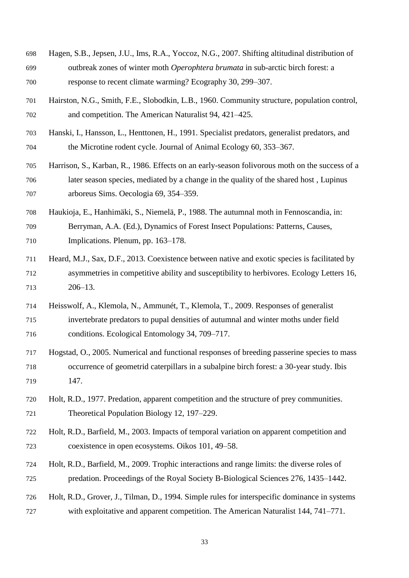- Hagen, S.B., Jepsen, J.U., Ims, R.A., Yoccoz, N.G., 2007. Shifting altitudinal distribution of outbreak zones of winter moth *Operophtera brumata* in sub-arctic birch forest: a response to recent climate warming? Ecography 30, 299–307.
- Hairston, N.G., Smith, F.E., Slobodkin, L.B., 1960. Community structure, population control, and competition. The American Naturalist 94, 421–425.
- Hanski, I., Hansson, L., Henttonen, H., 1991. Specialist predators, generalist predators, and the Microtine rodent cycle. Journal of Animal Ecology 60, 353–367.
- Harrison, S., Karban, R., 1986. Effects on an early-season folivorous moth on the success of a later season species, mediated by a change in the quality of the shared host , Lupinus arboreus Sims. Oecologia 69, 354–359.
- Haukioja, E., Hanhimäki, S., Niemelä, P., 1988. The autumnal moth in Fennoscandia, in: Berryman, A.A. (Ed.), Dynamics of Forest Insect Populations: Patterns, Causes, Implications. Plenum, pp. 163–178.
- Heard, M.J., Sax, D.F., 2013. Coexistence between native and exotic species is facilitated by asymmetries in competitive ability and susceptibility to herbivores. Ecology Letters 16, 206–13.
- Heisswolf, A., Klemola, N., Ammunét, T., Klemola, T., 2009. Responses of generalist invertebrate predators to pupal densities of autumnal and winter moths under field conditions. Ecological Entomology 34, 709–717.
- Hogstad, O., 2005. Numerical and functional responses of breeding passerine species to mass occurrence of geometrid caterpillars in a subalpine birch forest: a 30-year study. Ibis 147.
- Holt, R.D., 1977. Predation, apparent competition and the structure of prey communities. Theoretical Population Biology 12, 197–229.
- Holt, R.D., Barfield, M., 2003. Impacts of temporal variation on apparent competition and coexistence in open ecosystems. Oikos 101, 49–58.
- Holt, R.D., Barfield, M., 2009. Trophic interactions and range limits: the diverse roles of predation. Proceedings of the Royal Society B-Biological Sciences 276, 1435–1442.
- Holt, R.D., Grover, J., Tilman, D., 1994. Simple rules for interspecific dominance in systems with exploitative and apparent competition. The American Naturalist 144, 741–771.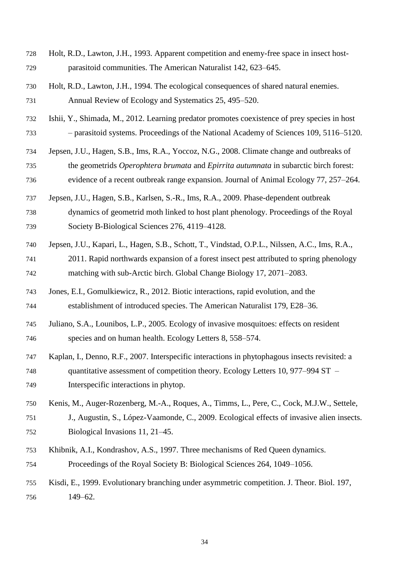- Holt, R.D., Lawton, J.H., 1993. Apparent competition and enemy-free space in insect host- parasitoid communities. The American Naturalist 142, 623–645. Holt, R.D., Lawton, J.H., 1994. The ecological consequences of shared natural enemies. Annual Review of Ecology and Systematics 25, 495–520. Ishii, Y., Shimada, M., 2012. Learning predator promotes coexistence of prey species in host – parasitoid systems. Proceedings of the National Academy of Sciences 109, 5116–5120. Jepsen, J.U., Hagen, S.B., Ims, R.A., Yoccoz, N.G., 2008. Climate change and outbreaks of the geometrids *Operophtera brumata* and *Epirrita autumnata* in subarctic birch forest: evidence of a recent outbreak range expansion. Journal of Animal Ecology 77, 257–264. Jepsen, J.U., Hagen, S.B., Karlsen, S.-R., Ims, R.A., 2009. Phase-dependent outbreak dynamics of geometrid moth linked to host plant phenology. Proceedings of the Royal Society B-Biological Sciences 276, 4119–4128. Jepsen, J.U., Kapari, L., Hagen, S.B., Schott, T., Vindstad, O.P.L., Nilssen, A.C., Ims, R.A., 2011. Rapid northwards expansion of a forest insect pest attributed to spring phenology matching with sub-Arctic birch. Global Change Biology 17, 2071–2083. Jones, E.I., Gomulkiewicz, R., 2012. Biotic interactions, rapid evolution, and the establishment of introduced species. The American Naturalist 179, E28–36. Juliano, S.A., Lounibos, L.P., 2005. Ecology of invasive mosquitoes: effects on resident species and on human health. Ecology Letters 8, 558–574. Kaplan, I., Denno, R.F., 2007. Interspecific interactions in phytophagous insects revisited: a quantitative assessment of competition theory. Ecology Letters 10, 977–994 ST – Interspecific interactions in phytop. Kenis, M., Auger-Rozenberg, M.-A., Roques, A., Timms, L., Pere, C., Cock, M.J.W., Settele, J., Augustin, S., López-Vaamonde, C., 2009. Ecological effects of invasive alien insects. Biological Invasions 11, 21–45. Khibnik, A.I., Kondrashov, A.S., 1997. Three mechanisms of Red Queen dynamics. Proceedings of the Royal Society B: Biological Sciences 264, 1049–1056.
- Kisdi, E., 1999. Evolutionary branching under asymmetric competition. J. Theor. Biol. 197, 149–62.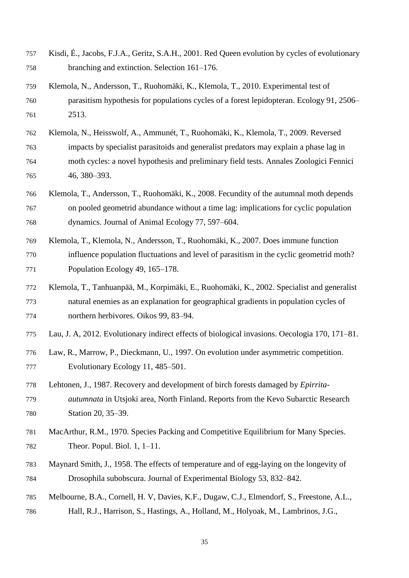- Kisdi, É., Jacobs, F.J.A., Geritz, S.A.H., 2001. Red Queen evolution by cycles of evolutionary branching and extinction. Selection 161–176.
- Klemola, N., Andersson, T., Ruohomäki, K., Klemola, T., 2010. Experimental test of parasitism hypothesis for populations cycles of a forest lepidopteran. Ecology 91, 2506– 2513.
- Klemola, N., Heisswolf, A., Ammunét, T., Ruohomäki, K., Klemola, T., 2009. Reversed impacts by specialist parasitoids and generalist predators may explain a phase lag in moth cycles: a novel hypothesis and preliminary field tests. Annales Zoologici Fennici 46, 380–393.
- Klemola, T., Andersson, T., Ruohomäki, K., 2008. Fecundity of the autumnal moth depends on pooled geometrid abundance without a time lag: implications for cyclic population dynamics. Journal of Animal Ecology 77, 597–604.
- Klemola, T., Klemola, N., Andersson, T., Ruohomäki, K., 2007. Does immune function influence population fluctuations and level of parasitism in the cyclic geometrid moth? Population Ecology 49, 165–178.
- Klemola, T., Tanhuanpää, M., Korpimäki, E., Ruohomäki, K., 2002. Specialist and generalist natural enemies as an explanation for geographical gradients in population cycles of northern herbivores. Oikos 99, 83–94.
- Lau, J. A, 2012. Evolutionary indirect effects of biological invasions. Oecologia 170, 171–81.
- Law, R., Marrow, P., Dieckmann, U., 1997. On evolution under asymmetric competition. Evolutionary Ecology 11, 485–501.
- Lehtonen, J., 1987. Recovery and development of birch forests damaged by *Epirrita- autumnata* in Utsjoki area, North Finland. Reports from the Kevo Subarctic Research Station 20, 35–39.
- MacArthur, R.M., 1970. Species Packing and Competitive Equilibrium for Many Species. Theor. Popul. Biol. 1, 1–11.
- Maynard Smith, J., 1958. The effects of temperature and of egg-laying on the longevity of Drosophila subobscura. Journal of Experimental Biology 53, 832–842.
- Melbourne, B.A., Cornell, H. V, Davies, K.F., Dugaw, C.J., Elmendorf, S., Freestone, A.L., Hall, R.J., Harrison, S., Hastings, A., Holland, M., Holyoak, M., Lambrinos, J.G.,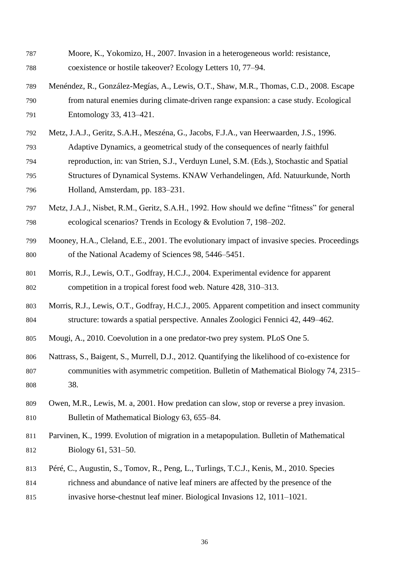| 787 | Moore, K., Yokomizo, H., 2007. Invasion in a heterogeneous world: resistance,                  |
|-----|------------------------------------------------------------------------------------------------|
| 788 | coexistence or hostile takeover? Ecology Letters 10, 77–94.                                    |
| 789 | Menéndez, R., González-Megías, A., Lewis, O.T., Shaw, M.R., Thomas, C.D., 2008. Escape         |
| 790 | from natural enemies during climate-driven range expansion: a case study. Ecological           |
| 791 | Entomology 33, 413-421.                                                                        |
| 792 | Metz, J.A.J., Geritz, S.A.H., Meszéna, G., Jacobs, F.J.A., van Heerwaarden, J.S., 1996.        |
| 793 | Adaptive Dynamics, a geometrical study of the consequences of nearly faithful                  |
| 794 | reproduction, in: van Strien, S.J., Verduyn Lunel, S.M. (Eds.), Stochastic and Spatial         |
| 795 | Structures of Dynamical Systems. KNAW Verhandelingen, Afd. Natuurkunde, North                  |
| 796 | Holland, Amsterdam, pp. 183-231.                                                               |
| 797 | Metz, J.A.J., Nisbet, R.M., Geritz, S.A.H., 1992. How should we define "fitness" for general   |
| 798 | ecological scenarios? Trends in Ecology & Evolution 7, 198–202.                                |
| 799 | Mooney, H.A., Cleland, E.E., 2001. The evolutionary impact of invasive species. Proceedings    |
| 800 | of the National Academy of Sciences 98, 5446–5451.                                             |
| 801 | Morris, R.J., Lewis, O.T., Godfray, H.C.J., 2004. Experimental evidence for apparent           |
| 802 | competition in a tropical forest food web. Nature 428, 310–313.                                |
| 803 | Morris, R.J., Lewis, O.T., Godfray, H.C.J., 2005. Apparent competition and insect community    |
| 804 | structure: towards a spatial perspective. Annales Zoologici Fennici 42, 449–462.               |
| 805 | Mougi, A., 2010. Coevolution in a one predator-two prey system. PLoS One 5.                    |
| 806 | Nattrass, S., Baigent, S., Murrell, D.J., 2012. Quantifying the likelihood of co-existence for |
| 807 | communities with asymmetric competition. Bulletin of Mathematical Biology 74, 2315–            |
| 808 | 38.                                                                                            |
| 809 | Owen, M.R., Lewis, M. a, 2001. How predation can slow, stop or reverse a prey invasion.        |
| 810 | Bulletin of Mathematical Biology 63, 655–84.                                                   |
| 811 | Parvinen, K., 1999. Evolution of migration in a metapopulation. Bulletin of Mathematical       |
| 812 | Biology 61, 531–50.                                                                            |
| 813 | Péré, C., Augustin, S., Tomov, R., Peng, L., Turlings, T.C.J., Kenis, M., 2010. Species        |
| 814 | richness and abundance of native leaf miners are affected by the presence of the               |
| 815 | invasive horse-chestnut leaf miner. Biological Invasions 12, 1011-1021.                        |
|     |                                                                                                |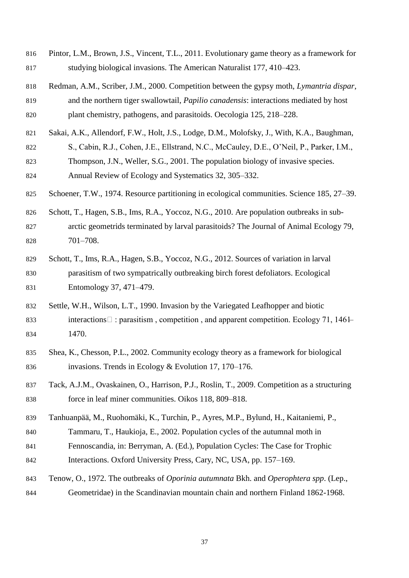- Pintor, L.M., Brown, J.S., Vincent, T.L., 2011. Evolutionary game theory as a framework for studying biological invasions. The American Naturalist 177, 410–423.
- Redman, A.M., Scriber, J.M., 2000. Competition between the gypsy moth, *Lymantria dispar*, and the northern tiger swallowtail, *Papilio canadensis*: interactions mediated by host plant chemistry, pathogens, and parasitoids. Oecologia 125, 218–228.
- Sakai, A.K., Allendorf, F.W., Holt, J.S., Lodge, D.M., Molofsky, J., With, K.A., Baughman, S., Cabin, R.J., Cohen, J.E., Ellstrand, N.C., McCauley, D.E., O'Neil, P., Parker, I.M.,
- Thompson, J.N., Weller, S.G., 2001. The population biology of invasive species. Annual Review of Ecology and Systematics 32, 305–332.
- Schoener, T.W., 1974. Resource partitioning in ecological communities. Science 185, 27–39.
- Schott, T., Hagen, S.B., Ims, R.A., Yoccoz, N.G., 2010. Are population outbreaks in sub-
- arctic geometrids terminated by larval parasitoids? The Journal of Animal Ecology 79, 701–708.
- Schott, T., Ims, R.A., Hagen, S.B., Yoccoz, N.G., 2012. Sources of variation in larval parasitism of two sympatrically outbreaking birch forest defoliators. Ecological Entomology 37, 471–479.
- Settle, W.H., Wilson, L.T., 1990. Invasion by the Variegated Leafhopper and biotic interactions : parasitism , competition , and apparent competition. Ecology 71, 1461– 1470.
- Shea, K., Chesson, P.L., 2002. Community ecology theory as a framework for biological invasions. Trends in Ecology & Evolution 17, 170–176.
- Tack, A.J.M., Ovaskainen, O., Harrison, P.J., Roslin, T., 2009. Competition as a structuring force in leaf miner communities. Oikos 118, 809–818.
- Tanhuanpää, M., Ruohomäki, K., Turchin, P., Ayres, M.P., Bylund, H., Kaitaniemi, P.,
- Tammaru, T., Haukioja, E., 2002. Population cycles of the autumnal moth in
- Fennoscandia, in: Berryman, A. (Ed.), Population Cycles: The Case for Trophic Interactions. Oxford University Press, Cary, NC, USA, pp. 157–169.
- Tenow, O., 1972. The outbreaks of *Oporinia autumnata* Bkh. and *Operophtera spp*. (Lep., Geometridae) in the Scandinavian mountain chain and northern Finland 1862-1968.